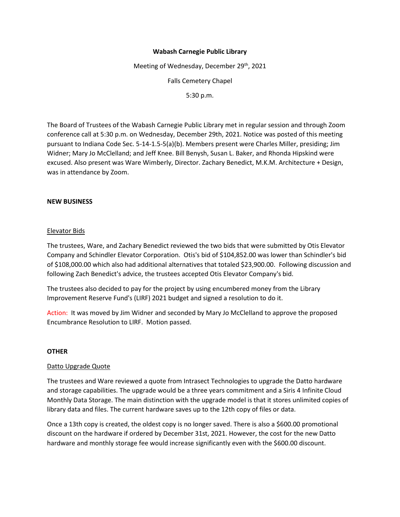# **Wabash Carnegie Public Library**

Meeting of Wednesday, December 29<sup>th</sup>, 2021 Falls Cemetery Chapel 5:30 p.m.

The Board of Trustees of the Wabash Carnegie Public Library met in regular session and through Zoom conference call at 5:30 p.m. on Wednesday, December 29th, 2021. Notice was posted of this meeting pursuant to Indiana Code Sec. 5-14-1.5-5(a)(b). Members present were Charles Miller, presiding; Jim Widner; Mary Jo McClelland; and Jeff Knee. Bill Benysh, Susan L. Baker, and Rhonda Hipskind were excused. Also present was Ware Wimberly, Director. Zachary Benedict, M.K.M. Architecture + Design, was in attendance by Zoom.

# **NEW BUSINESS**

# Elevator Bids

The trustees, Ware, and Zachary Benedict reviewed the two bids that were submitted by Otis Elevator Company and Schindler Elevator Corporation. Otis's bid of \$104,852.00 was lower than Schindler's bid of \$108,000.00 which also had additional alternatives that totaled \$23,900.00. Following discussion and following Zach Benedict's advice, the trustees accepted Otis Elevator Company's bid.

The trustees also decided to pay for the project by using encumbered money from the Library Improvement Reserve Fund's (LIRF) 2021 budget and signed a resolution to do it.

Action: It was moved by Jim Widner and seconded by Mary Jo McClelland to approve the proposed Encumbrance Resolution to LIRF. Motion passed.

### **OTHER**

### Datto Upgrade Quote

The trustees and Ware reviewed a quote from Intrasect Technologies to upgrade the Datto hardware and storage capabilities. The upgrade would be a three years commitment and a Siris 4 Infinite Cloud Monthly Data Storage. The main distinction with the upgrade model is that it stores unlimited copies of library data and files. The current hardware saves up to the 12th copy of files or data.

Once a 13th copy is created, the oldest copy is no longer saved. There is also a \$600.00 promotional discount on the hardware if ordered by December 31st, 2021. However, the cost for the new Datto hardware and monthly storage fee would increase significantly even with the \$600.00 discount.